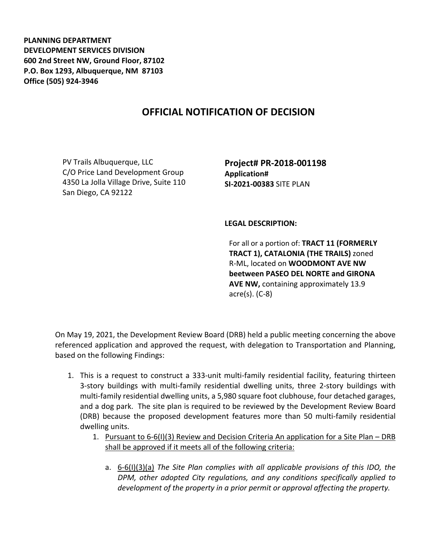**PLANNING DEPARTMENT DEVELOPMENT SERVICES DIVISION 600 2nd Street NW, Ground Floor, 87102 P.O. Box 1293, Albuquerque, NM 87103 Office (505) 924-3946** 

## **OFFICIAL NOTIFICATION OF DECISION**

PV Trails Albuquerque, LLC C/O Price Land Development Group 4350 La Jolla Village Drive, Suite 110 San Diego, CA 92122

**Project# PR-2018-001198 Application# SI-2021-00383** SITE PLAN

## **LEGAL DESCRIPTION:**

For all or a portion of: **TRACT 11 (FORMERLY TRACT 1), CATALONIA (THE TRAILS)** zoned R-ML, located on **WOODMONT AVE NW beetween PASEO DEL NORTE and GIRONA AVE NW,** containing approximately 13.9 acre(s). (C-8)

On May 19, 2021, the Development Review Board (DRB) held a public meeting concerning the above referenced application and approved the request, with delegation to Transportation and Planning, based on the following Findings:

- 1. This is a request to construct a 333-unit multi-family residential facility, featuring thirteen 3-story buildings with multi-family residential dwelling units, three 2-story buildings with multi-family residential dwelling units, a 5,980 square foot clubhouse, four detached garages, and a dog park. The site plan is required to be reviewed by the Development Review Board (DRB) because the proposed development features more than 50 multi-family residential dwelling units.
	- 1. Pursuant to 6-6(I)(3) Review and Decision Criteria An application for a Site Plan DRB shall be approved if it meets all of the following criteria:
		- a. 6-6(I)(3)(a) *The Site Plan complies with all applicable provisions of this IDO, the DPM, other adopted City regulations, and any conditions specifically applied to development of the property in a prior permit or approval affecting the property.*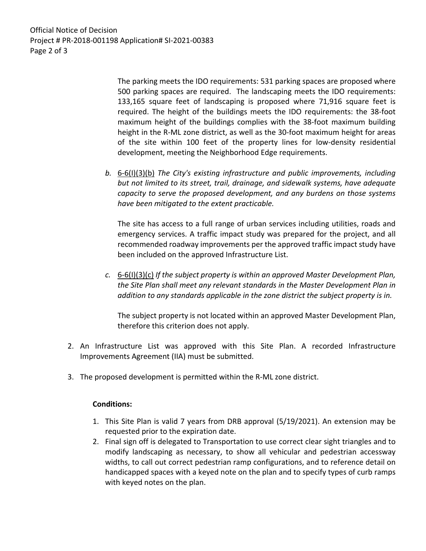Official Notice of Decision Project # PR-2018-001198 Application# SI-2021-00383 Page 2 of 3

> The parking meets the IDO requirements: 531 parking spaces are proposed where 500 parking spaces are required. The landscaping meets the IDO requirements: 133,165 square feet of landscaping is proposed where 71,916 square feet is required. The height of the buildings meets the IDO requirements: the 38-foot maximum height of the buildings complies with the 38-foot maximum building height in the R-ML zone district, as well as the 30-foot maximum height for areas of the site within 100 feet of the property lines for low-density residential development, meeting the Neighborhood Edge requirements.

*b.* 6-6(I)(3)(b) *The City's existing infrastructure and public improvements, including but not limited to its street, trail, drainage, and sidewalk systems, have adequate capacity to serve the proposed development, and any burdens on those systems have been mitigated to the extent practicable.* 

The site has access to a full range of urban services including utilities, roads and emergency services. A traffic impact study was prepared for the project, and all recommended roadway improvements per the approved traffic impact study have been included on the approved Infrastructure List.

*c.* 6-6(I)(3)(c) *If the subject property is within an approved Master Development Plan, the Site Plan shall meet any relevant standards in the Master Development Plan in addition to any standards applicable in the zone district the subject property is in.*

The subject property is not located within an approved Master Development Plan, therefore this criterion does not apply.

- 2. An Infrastructure List was approved with this Site Plan. A recorded Infrastructure Improvements Agreement (IIA) must be submitted.
- 3. The proposed development is permitted within the R-ML zone district.

## **Conditions:**

- 1. This Site Plan is valid 7 years from DRB approval (5/19/2021). An extension may be requested prior to the expiration date.
- 2. Final sign off is delegated to Transportation to use correct clear sight triangles and to modify landscaping as necessary, to show all vehicular and pedestrian accessway widths, to call out correct pedestrian ramp configurations, and to reference detail on handicapped spaces with a keyed note on the plan and to specify types of curb ramps with keyed notes on the plan.